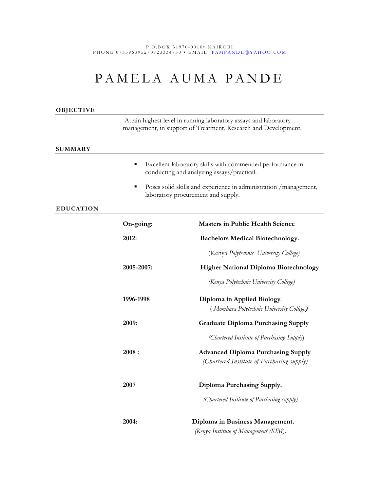P . O . B O X 31970 - 0 0 1 0 • N A I R O B I P H O N E 0733963952/0723334730 • EMAIL: PAMPANDE @ Y A H O O. C O M

# PAMELA AUMA PANDE

| OBJECTIVE        |                                                                                                                                    |                                                                                         |
|------------------|------------------------------------------------------------------------------------------------------------------------------------|-----------------------------------------------------------------------------------------|
|                  | Attain highest level in running laboratory assays and laboratory<br>management, in support of Treatment, Research and Development. |                                                                                         |
| <b>SUMMARY</b>   |                                                                                                                                    |                                                                                         |
|                  | ٠<br>Excellent laboratory skills with commended performance in<br>conducting and analyzing assays/practical.                       |                                                                                         |
|                  | Poses solid skills and experience in administration / management,<br>٠<br>laboratory procurement and supply.                       |                                                                                         |
| <b>EDUCATION</b> |                                                                                                                                    |                                                                                         |
|                  | On-going:                                                                                                                          | <b>Masters in Public Health Science</b>                                                 |
|                  | 2012:                                                                                                                              | <b>Bachelors Medical Biotechnology.</b>                                                 |
|                  |                                                                                                                                    | (Kenya Polytechnic University College)                                                  |
|                  | 2005-2007:                                                                                                                         | <b>Higher National Diploma Biotechnology</b>                                            |
|                  |                                                                                                                                    | (Kenya Polytechnic University College)                                                  |
|                  | 1996-1998                                                                                                                          | Diploma in Applied Biology.<br>(Mombasa Polytechnic University College)                 |
|                  | 2009:                                                                                                                              | <b>Graduate Diploma Purchasing Supply</b>                                               |
|                  |                                                                                                                                    | (Chartered Institute of Purchasing Supply)                                              |
|                  | 2008:                                                                                                                              | <b>Advanced Diploma Purchasing Supply</b><br>(Chartered Institute of Purchasing supply) |
|                  | 2007                                                                                                                               | Diploma Purchasing Supply.                                                              |
|                  |                                                                                                                                    | (Chartered Institute of Purchasing supply)                                              |
|                  | 2004:                                                                                                                              | Diploma in Business Management.<br>(Kenya Institute of Management (KIM).                |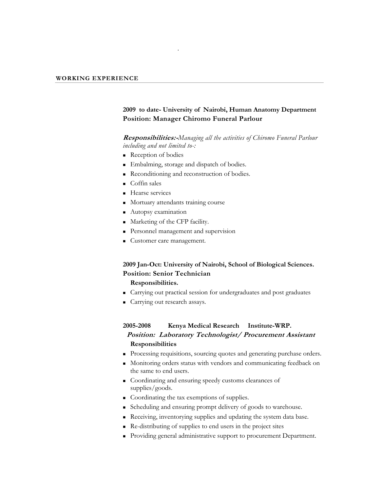## **2009 to date- University of Nairobi, Human Anatomy Department Position: Manager Chiromo Funeral Parlour**

#### **Responsibilities:-***Managing all the activities of Chiromo Funeral Parlour including and not limited to-:*

Reception of bodies

.

- **Embalming, storage and dispatch of bodies.**
- Reconditioning and reconstruction of bodies.
- Coffin sales
- **Hearse services**
- **Mortuary attendants training course**
- **Autopsy examination**
- **Marketing of the CFP facility.**
- Personnel management and supervision
- Customer care management.

## **2009 Jan-Oct: University of Nairobi, School of Biological Sciences. Position: Senior Technician**

## **Responsibilities.**

- Carrying out practical session for undergraduates and post graduates
- Carrying out research assays.

## **2005-2008 Kenya Medical Research Institute-WRP. Position: Laboratory Technologist/ Procurement Assistant Responsibilities**

- Processing requisitions, sourcing quotes and generating purchase orders.
- Monitoring orders status with vendors and communicating feedback on the same to end users.
- Coordinating and ensuring speedy customs clearances of supplies/goods.
- Coordinating the tax exemptions of supplies.
- Scheduling and ensuring prompt delivery of goods to warehouse.
- Receiving, inventorying supplies and updating the system data base.
- Re-distributing of supplies to end users in the project sites
- Providing general administrative support to procurement Department.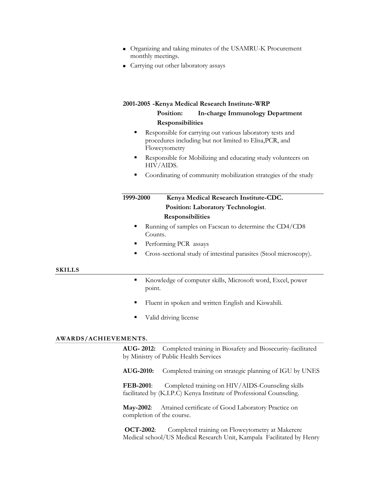- Organizing and taking minutes of the USAMRU-K Procurement monthly meetings.
- Carrying out other laboratory assays

#### **2001-2005 -Kenya Medical Research Institute-WRP**

## **Position: In-charge Immunology Department Responsibilities**

- Responsible for carrying out various laboratory tests and procedures including but not limited to Elisa,PCR, and Flowcytometry
- Responsible for Mobilizing and educating study volunteers on HIV/AIDS.
- Coordinating of community mobilization strategies of the study

## **1999-2000 Kenya Medical Research Institute-CDC. Position: Laboratory Technologist**. **Responsibilities**

- Running of samples on Facscan to determine the CD4/CD8 Counts.
- Performing PCR assays
- Cross-sectional study of intestinal parasites (Stool microscopy).

#### **SKILLS**

- Knowledge of computer skills, Microsoft word, Excel, power point.
- Fluent in spoken and written English and Kiswahili.
- Valid driving license

#### **AWARDS/ACHIEVEMENTS.**

**AUG- 2012:** Completed training in Biosafety and Biosecurity-facilitated by Ministry of Public Health Services

**AUG-2010:** Completed training on strategic planning of IGU by UNES

**FEB-2001**: Completed training on HIV/AIDS-Counseling skills facilitated by (K.I.P.C) Kenya Institute of Professional Counseling.

**May-2002**: Attained certificate of Good Laboratory Practice on completion of the course.

**OCT-2002**: Completed training on Flowcytometry at Makerere Medical school/US Medical Research Unit, Kampala Facilitated by Henry